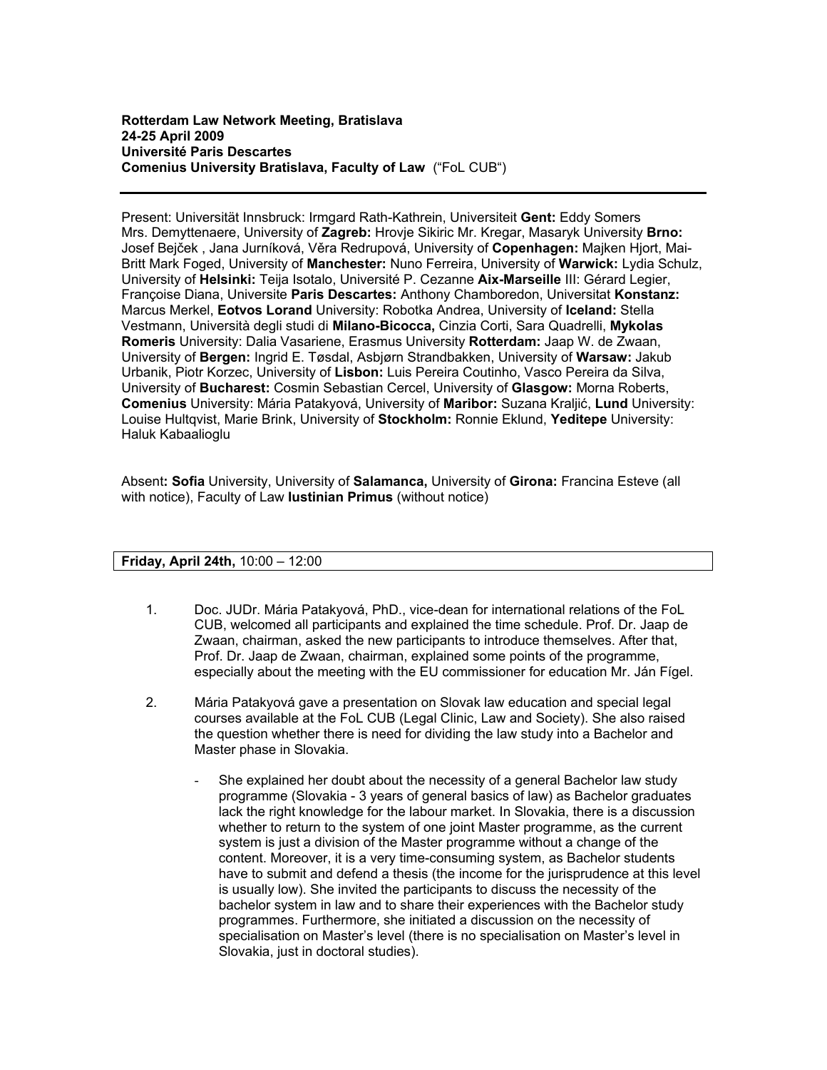Present: Universität Innsbruck: Irmgard Rath-Kathrein, Universiteit **Gent:** Eddy Somers Mrs. Demyttenaere, University of **Zagreb:** Hrovje Sikiric Mr. Kregar, Masaryk University **Brno:**  Josef Bejček , Jana Jurníková, Věra Redrupová, University of **Copenhagen:** Majken Hjort, Mai-Britt Mark Foged, University of **Manchester:** Nuno Ferreira, University of **Warwick:** Lydia Schulz, University of **Helsinki:** Teija Isotalo, Université P. Cezanne **Aix-Marseille** III: Gérard Legier, Françoise Diana, Universite **Paris Descartes:** Anthony Chamboredon, Universitat **Konstanz:**  Marcus Merkel, **Eotvos Lorand** University: Robotka Andrea, University of **Iceland:** Stella Vestmann, Università degli studi di **Milano-Bicocca,** Cinzia Corti, Sara Quadrelli, **Mykolas Romeris** University: Dalia Vasariene, Erasmus University **Rotterdam:** Jaap W. de Zwaan, University of **Bergen:** Ingrid E. Tøsdal, Asbjørn Strandbakken, University of **Warsaw:** Jakub Urbanik, Piotr Korzec, University of **Lisbon:** Luis Pereira Coutinho, Vasco Pereira da Silva, University of **Bucharest:** Cosmin Sebastian Cercel, University of **Glasgow:** Morna Roberts, **Comenius** University: Mária Patakyová, University of **Maribor:** Suzana Kraljić, **Lund** University: Louise Hultqvist, Marie Brink, University of **Stockholm:** Ronnie Eklund, **Yeditepe** University: Haluk Kabaalioglu

Absent**: Sofia** University, University of **Salamanca,** University of **Girona:** Francina Esteve (all with notice), Faculty of Law **Iustinian Primus** (without notice)

## **Friday, April 24th,** 10:00 – 12:00

- 1. Doc. JUDr. Mária Patakyová, PhD., vice-dean for international relations of the FoL CUB, welcomed all participants and explained the time schedule. Prof. Dr. Jaap de Zwaan, chairman, asked the new participants to introduce themselves. After that, Prof. Dr. Jaap de Zwaan, chairman, explained some points of the programme, especially about the meeting with the EU commissioner for education Mr. Ján Fígel.
- 2. Mária Patakyová gave a presentation on Slovak law education and special legal courses available at the FoL CUB (Legal Clinic, Law and Society). She also raised the question whether there is need for dividing the law study into a Bachelor and Master phase in Slovakia.
	- She explained her doubt about the necessity of a general Bachelor law study programme (Slovakia - 3 years of general basics of law) as Bachelor graduates lack the right knowledge for the labour market. In Slovakia, there is a discussion whether to return to the system of one joint Master programme, as the current system is just a division of the Master programme without a change of the content. Moreover, it is a very time-consuming system, as Bachelor students have to submit and defend a thesis (the income for the jurisprudence at this level is usually low). She invited the participants to discuss the necessity of the bachelor system in law and to share their experiences with the Bachelor study programmes. Furthermore, she initiated a discussion on the necessity of specialisation on Master's level (there is no specialisation on Master's level in Slovakia, just in doctoral studies).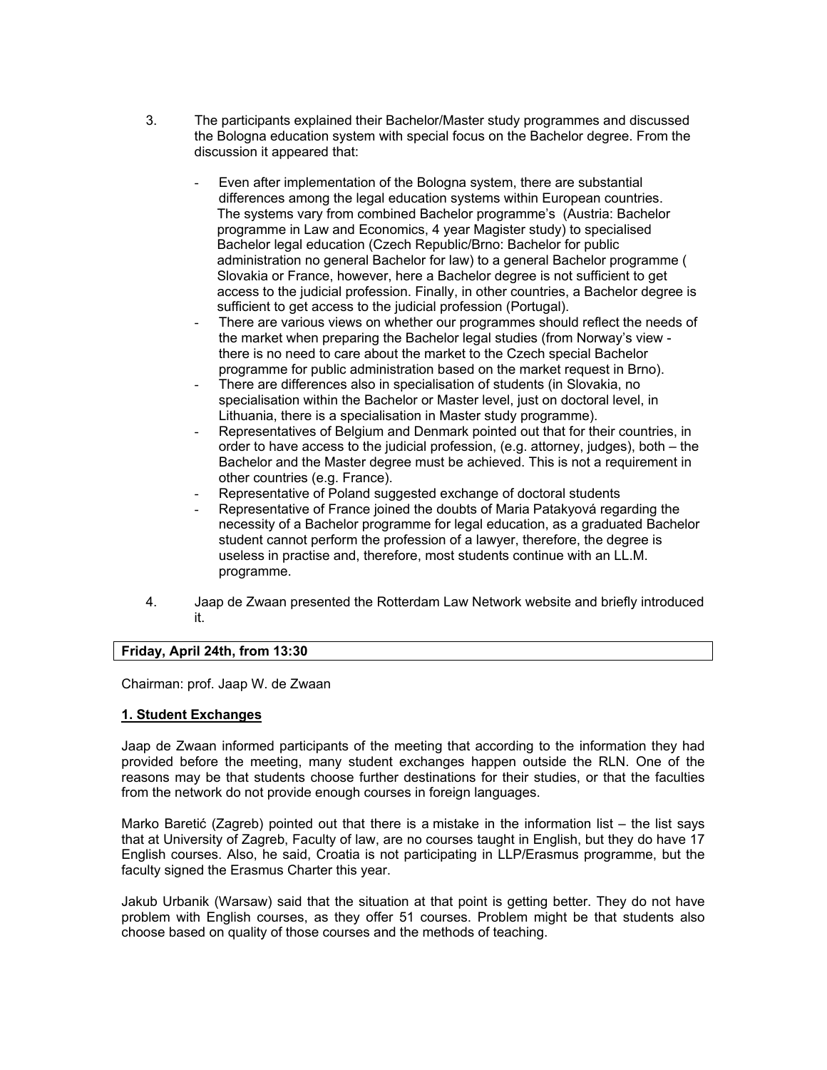- 3. The participants explained their Bachelor/Master study programmes and discussed the Bologna education system with special focus on the Bachelor degree. From the discussion it appeared that:
	- Even after implementation of the Bologna system, there are substantial differences among the legal education systems within European countries. The systems vary from combined Bachelor programme's (Austria: Bachelor programme in Law and Economics, 4 year Magister study) to specialised Bachelor legal education (Czech Republic/Brno: Bachelor for public administration no general Bachelor for law) to a general Bachelor programme ( Slovakia or France, however, here a Bachelor degree is not sufficient to get access to the judicial profession. Finally, in other countries, a Bachelor degree is sufficient to get access to the judicial profession (Portugal).
	- There are various views on whether our programmes should reflect the needs of the market when preparing the Bachelor legal studies (from Norway's view there is no need to care about the market to the Czech special Bachelor programme for public administration based on the market request in Brno).
	- There are differences also in specialisation of students (in Slovakia, no specialisation within the Bachelor or Master level, just on doctoral level, in Lithuania, there is a specialisation in Master study programme).
	- Representatives of Belgium and Denmark pointed out that for their countries, in order to have access to the judicial profession, (e.g. attorney, judges), both – the Bachelor and the Master degree must be achieved. This is not a requirement in other countries (e.g. France).
	- Representative of Poland suggested exchange of doctoral students
	- Representative of France joined the doubts of Maria Patakyová regarding the necessity of a Bachelor programme for legal education, as a graduated Bachelor student cannot perform the profession of a lawyer, therefore, the degree is useless in practise and, therefore, most students continue with an LL.M. programme.
- 4. Jaap de Zwaan presented the Rotterdam Law Network website and briefly introduced it.

# **Friday, April 24th, from 13:30**

Chairman: prof. Jaap W. de Zwaan

#### **1. Student Exchanges**

Jaap de Zwaan informed participants of the meeting that according to the information they had provided before the meeting, many student exchanges happen outside the RLN. One of the reasons may be that students choose further destinations for their studies, or that the faculties from the network do not provide enough courses in foreign languages.

Marko Baretić (Zagreb) pointed out that there is a mistake in the information list – the list says that at University of Zagreb, Faculty of law, are no courses taught in English, but they do have 17 English courses. Also, he said, Croatia is not participating in LLP/Erasmus programme, but the faculty signed the Erasmus Charter this year.

Jakub Urbanik (Warsaw) said that the situation at that point is getting better. They do not have problem with English courses, as they offer 51 courses. Problem might be that students also choose based on quality of those courses and the methods of teaching.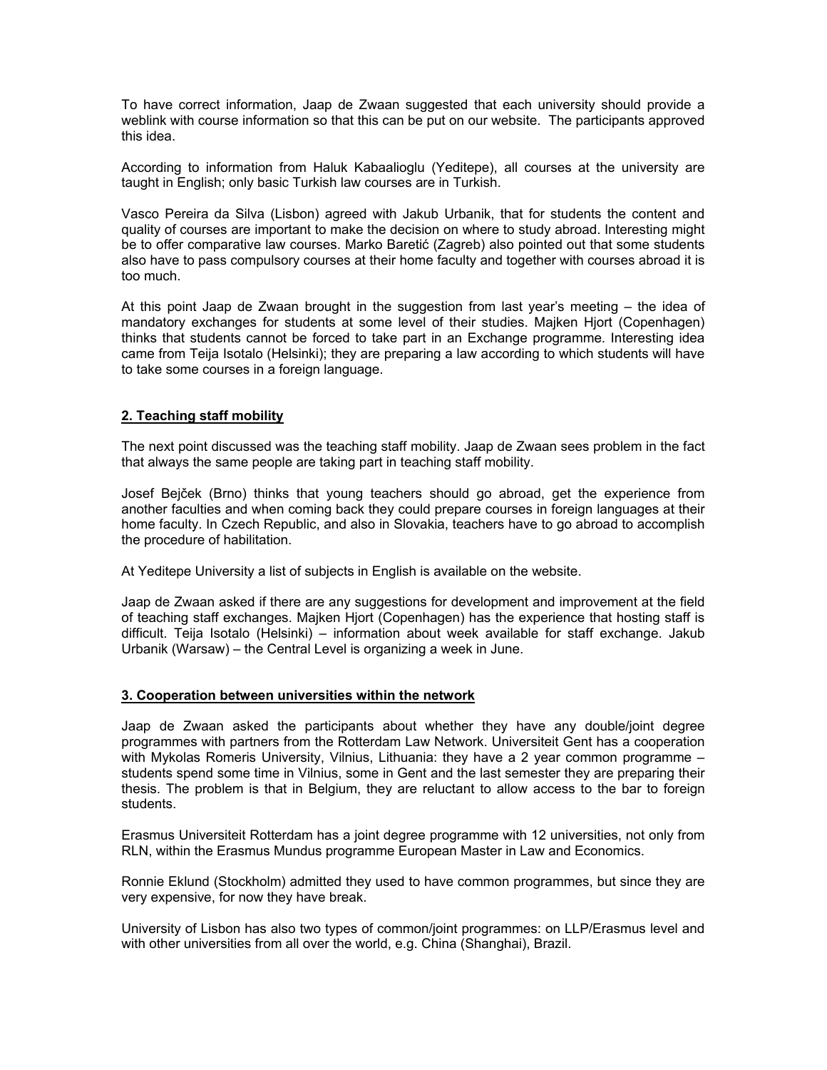To have correct information, Jaap de Zwaan suggested that each university should provide a weblink with course information so that this can be put on our website. The participants approved this idea.

According to information from Haluk Kabaalioglu (Yeditepe), all courses at the university are taught in English; only basic Turkish law courses are in Turkish.

Vasco Pereira da Silva (Lisbon) agreed with Jakub Urbanik, that for students the content and quality of courses are important to make the decision on where to study abroad. Interesting might be to offer comparative law courses. Marko Baretić (Zagreb) also pointed out that some students also have to pass compulsory courses at their home faculty and together with courses abroad it is too much.

At this point Jaap de Zwaan brought in the suggestion from last year's meeting – the idea of mandatory exchanges for students at some level of their studies. Majken Hjort (Copenhagen) thinks that students cannot be forced to take part in an Exchange programme. Interesting idea came from Teija Isotalo (Helsinki); they are preparing a law according to which students will have to take some courses in a foreign language.

## **2. Teaching staff mobility**

The next point discussed was the teaching staff mobility. Jaap de Zwaan sees problem in the fact that always the same people are taking part in teaching staff mobility.

Josef Bejček (Brno) thinks that young teachers should go abroad, get the experience from another faculties and when coming back they could prepare courses in foreign languages at their home faculty. In Czech Republic, and also in Slovakia, teachers have to go abroad to accomplish the procedure of habilitation.

At Yeditepe University a list of subjects in English is available on the website.

Jaap de Zwaan asked if there are any suggestions for development and improvement at the field of teaching staff exchanges. Majken Hjort (Copenhagen) has the experience that hosting staff is difficult. Teija Isotalo (Helsinki) – information about week available for staff exchange. Jakub Urbanik (Warsaw) – the Central Level is organizing a week in June.

#### **3. Cooperation between universities within the network**

Jaap de Zwaan asked the participants about whether they have any double/joint degree programmes with partners from the Rotterdam Law Network. Universiteit Gent has a cooperation with Mykolas Romeris University, Vilnius, Lithuania: they have a 2 year common programme – students spend some time in Vilnius, some in Gent and the last semester they are preparing their thesis. The problem is that in Belgium, they are reluctant to allow access to the bar to foreign students.

Erasmus Universiteit Rotterdam has a joint degree programme with 12 universities, not only from RLN, within the Erasmus Mundus programme European Master in Law and Economics.

Ronnie Eklund (Stockholm) admitted they used to have common programmes, but since they are very expensive, for now they have break.

University of Lisbon has also two types of common/joint programmes: on LLP/Erasmus level and with other universities from all over the world, e.g. China (Shanghai), Brazil.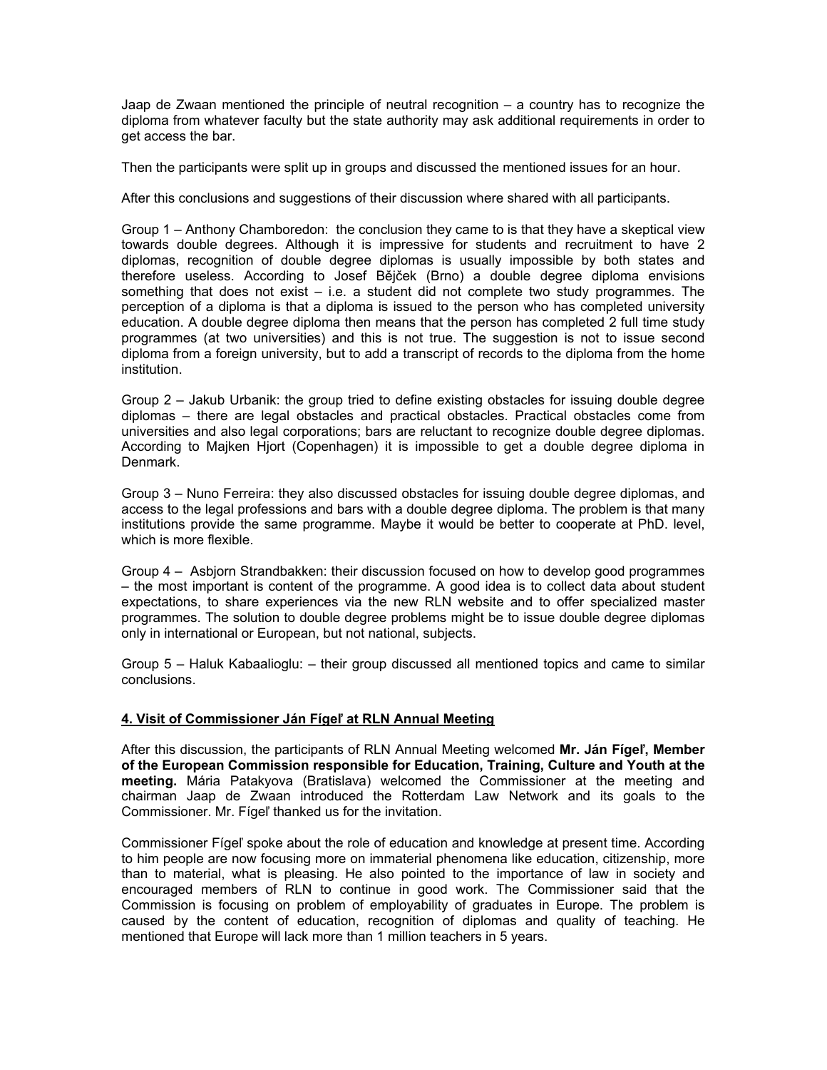Jaap de Zwaan mentioned the principle of neutral recognition – a country has to recognize the diploma from whatever faculty but the state authority may ask additional requirements in order to get access the bar.

Then the participants were split up in groups and discussed the mentioned issues for an hour.

After this conclusions and suggestions of their discussion where shared with all participants.

Group 1 – Anthony Chamboredon: the conclusion they came to is that they have a skeptical view towards double degrees. Although it is impressive for students and recruitment to have 2 diplomas, recognition of double degree diplomas is usually impossible by both states and therefore useless. According to Josef Bějček (Brno) a double degree diploma envisions something that does not exist – i.e. a student did not complete two study programmes. The perception of a diploma is that a diploma is issued to the person who has completed university education. A double degree diploma then means that the person has completed 2 full time study programmes (at two universities) and this is not true. The suggestion is not to issue second diploma from a foreign university, but to add a transcript of records to the diploma from the home institution.

Group 2 – Jakub Urbanik: the group tried to define existing obstacles for issuing double degree diplomas – there are legal obstacles and practical obstacles. Practical obstacles come from universities and also legal corporations; bars are reluctant to recognize double degree diplomas. According to Majken Hjort (Copenhagen) it is impossible to get a double degree diploma in Denmark.

Group 3 – Nuno Ferreira: they also discussed obstacles for issuing double degree diplomas, and access to the legal professions and bars with a double degree diploma. The problem is that many institutions provide the same programme. Maybe it would be better to cooperate at PhD. level, which is more flexible.

Group 4 – Asbjorn Strandbakken: their discussion focused on how to develop good programmes – the most important is content of the programme. A good idea is to collect data about student expectations, to share experiences via the new RLN website and to offer specialized master programmes. The solution to double degree problems might be to issue double degree diplomas only in international or European, but not national, subjects.

Group 5 – Haluk Kabaalioglu: – their group discussed all mentioned topics and came to similar conclusions.

#### **4. Visit of Commissioner Ján Fígeľ at RLN Annual Meeting**

After this discussion, the participants of RLN Annual Meeting welcomed **Mr. Ján Fígeľ, Member of the European Commission responsible for Education, Training, Culture and Youth at the meeting.** Mária Patakyova (Bratislava) welcomed the Commissioner at the meeting and chairman Jaap de Zwaan introduced the Rotterdam Law Network and its goals to the Commissioner. Mr. Fígeľ thanked us for the invitation.

Commissioner Fígeľ spoke about the role of education and knowledge at present time. According to him people are now focusing more on immaterial phenomena like education, citizenship, more than to material, what is pleasing. He also pointed to the importance of law in society and encouraged members of RLN to continue in good work. The Commissioner said that the Commission is focusing on problem of employability of graduates in Europe. The problem is caused by the content of education, recognition of diplomas and quality of teaching. He mentioned that Europe will lack more than 1 million teachers in 5 years.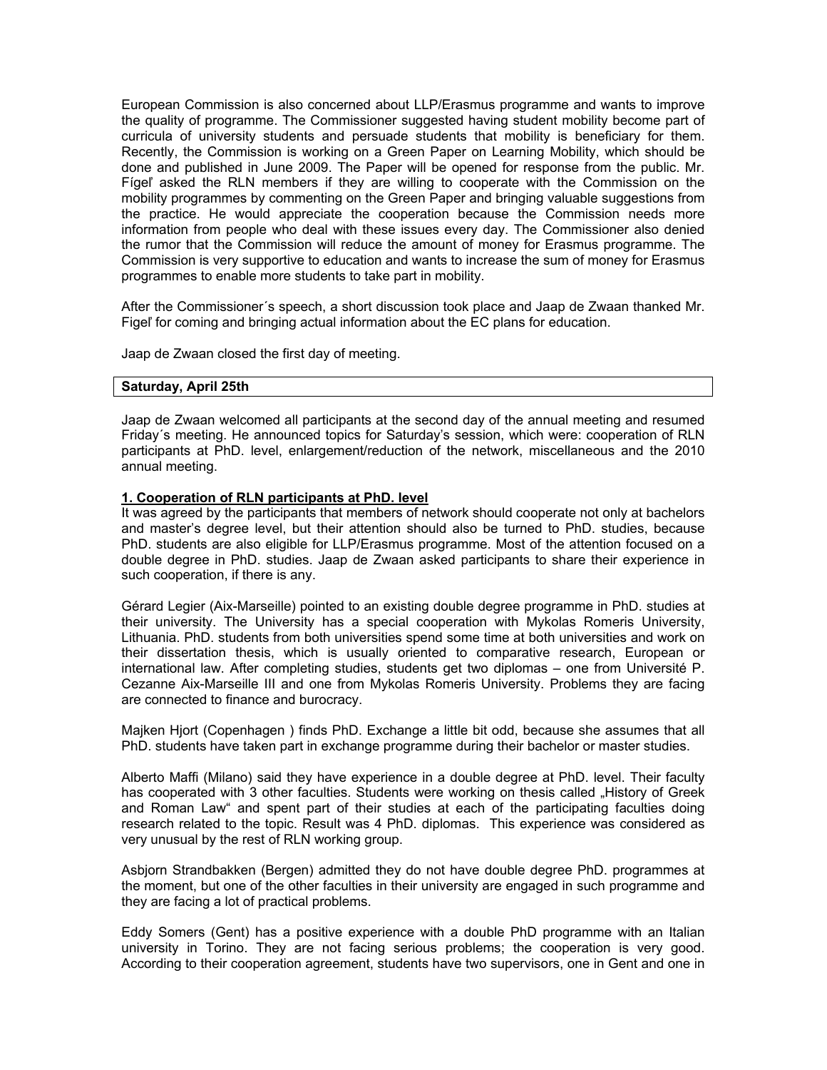European Commission is also concerned about LLP/Erasmus programme and wants to improve the quality of programme. The Commissioner suggested having student mobility become part of curricula of university students and persuade students that mobility is beneficiary for them. Recently, the Commission is working on a Green Paper on Learning Mobility, which should be done and published in June 2009. The Paper will be opened for response from the public. Mr. Fígeľ asked the RLN members if they are willing to cooperate with the Commission on the mobility programmes by commenting on the Green Paper and bringing valuable suggestions from the practice. He would appreciate the cooperation because the Commission needs more information from people who deal with these issues every day. The Commissioner also denied the rumor that the Commission will reduce the amount of money for Erasmus programme. The Commission is very supportive to education and wants to increase the sum of money for Erasmus programmes to enable more students to take part in mobility.

After the Commissioner´s speech, a short discussion took place and Jaap de Zwaan thanked Mr. Figeľ for coming and bringing actual information about the EC plans for education.

Jaap de Zwaan closed the first day of meeting.

#### **Saturday, April 25th**

Jaap de Zwaan welcomed all participants at the second day of the annual meeting and resumed Friday´s meeting. He announced topics for Saturday's session, which were: cooperation of RLN participants at PhD. level, enlargement/reduction of the network, miscellaneous and the 2010 annual meeting.

## **1. Cooperation of RLN participants at PhD. level**

It was agreed by the participants that members of network should cooperate not only at bachelors and master's degree level, but their attention should also be turned to PhD. studies, because PhD. students are also eligible for LLP/Erasmus programme. Most of the attention focused on a double degree in PhD. studies. Jaap de Zwaan asked participants to share their experience in such cooperation, if there is any.

Gérard Legier (Aix-Marseille) pointed to an existing double degree programme in PhD. studies at their university. The University has a special cooperation with Mykolas Romeris University, Lithuania. PhD. students from both universities spend some time at both universities and work on their dissertation thesis, which is usually oriented to comparative research, European or international law. After completing studies, students get two diplomas – one from Université P. Cezanne Aix-Marseille III and one from Mykolas Romeris University. Problems they are facing are connected to finance and burocracy.

Majken Hjort (Copenhagen ) finds PhD. Exchange a little bit odd, because she assumes that all PhD. students have taken part in exchange programme during their bachelor or master studies.

Alberto Maffi (Milano) said they have experience in a double degree at PhD. level. Their faculty has cooperated with 3 other faculties. Students were working on thesis called "History of Greek and Roman Law" and spent part of their studies at each of the participating faculties doing research related to the topic. Result was 4 PhD. diplomas. This experience was considered as very unusual by the rest of RLN working group.

Asbjorn Strandbakken (Bergen) admitted they do not have double degree PhD. programmes at the moment, but one of the other faculties in their university are engaged in such programme and they are facing a lot of practical problems.

Eddy Somers (Gent) has a positive experience with a double PhD programme with an Italian university in Torino. They are not facing serious problems; the cooperation is very good. According to their cooperation agreement, students have two supervisors, one in Gent and one in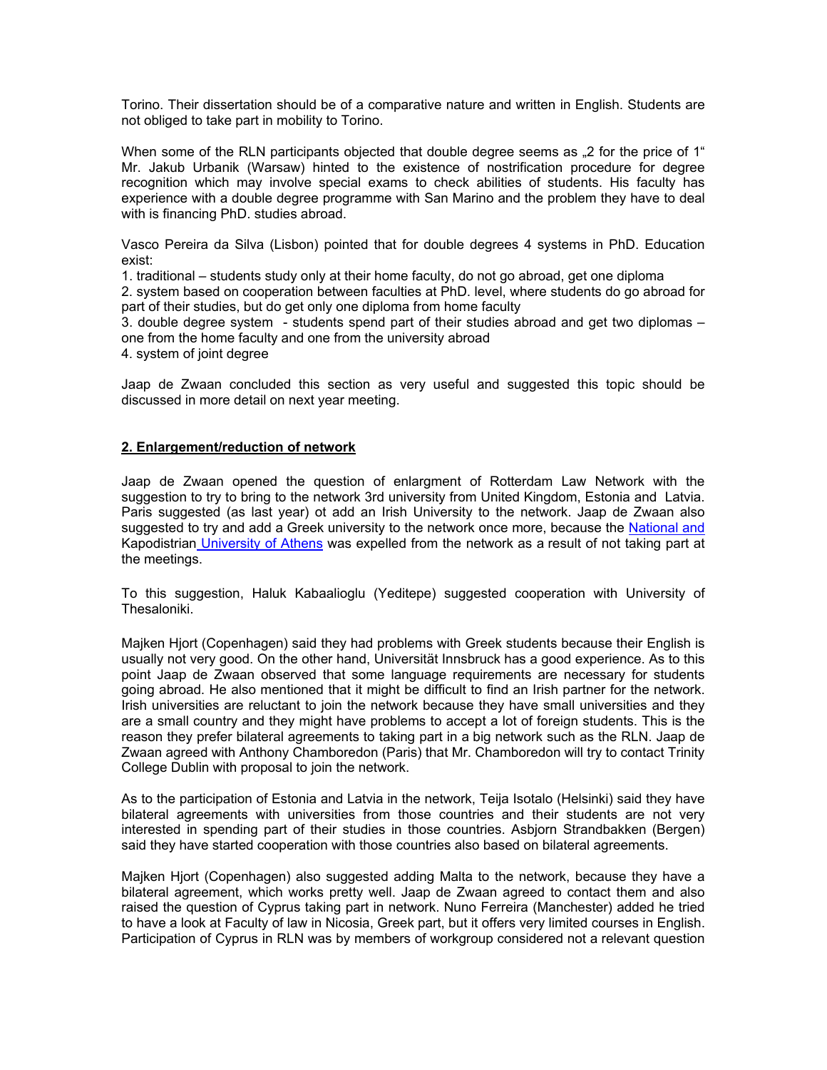Torino. Their dissertation should be of a comparative nature and written in English. Students are not obliged to take part in mobility to Torino.

When some of the RLN participants objected that double degree seems as ...2 for the price of 1<sup>"</sup> Mr. Jakub Urbanik (Warsaw) hinted to the existence of nostrification procedure for degree recognition which may involve special exams to check abilities of students. His faculty has experience with a double degree programme with San Marino and the problem they have to deal with is financing PhD. studies abroad.

Vasco Pereira da Silva (Lisbon) pointed that for double degrees 4 systems in PhD. Education exist:

1. traditional – students study only at their home faculty, do not go abroad, get one diploma

2. system based on cooperation between faculties at PhD. level, where students do go abroad for part of their studies, but do get only one diploma from home faculty

3. double degree system - students spend part of their studies abroad and get two diplomas – one from the home faculty and one from the university abroad

4. system of joint degree

Jaap de Zwaan concluded this section as very useful and suggested this topic should be discussed in more detail on next year meeting.

#### **2. Enlargement/reduction of network**

Jaap de Zwaan opened the question of enlargment of Rotterdam Law Network with the suggestion to try to bring to the network 3rd university from United Kingdom, Estonia and Latvia. Paris suggested (as last year) ot add an Irish University to the network. Jaap de Zwaan also suggested to try and add a Greek university to the network once more, because the National and [Kapodistrian University of Athens](http://en.wikipedia.org/wiki/University_of_Athens) was expelled from the network as a result of not taking part at the meetings.

To this suggestion, Haluk Kabaalioglu (Yeditepe) suggested cooperation with University of Thesaloniki.

Majken Hjort (Copenhagen) said they had problems with Greek students because their English is usually not very good. On the other hand, Universität Innsbruck has a good experience. As to this point Jaap de Zwaan observed that some language requirements are necessary for students going abroad. He also mentioned that it might be difficult to find an Irish partner for the network. Irish universities are reluctant to join the network because they have small universities and they are a small country and they might have problems to accept a lot of foreign students. This is the reason they prefer bilateral agreements to taking part in a big network such as the RLN. Jaap de Zwaan agreed with Anthony Chamboredon (Paris) that Mr. Chamboredon will try to contact Trinity College Dublin with proposal to join the network.

As to the participation of Estonia and Latvia in the network, Teija Isotalo (Helsinki) said they have bilateral agreements with universities from those countries and their students are not very interested in spending part of their studies in those countries. Asbjorn Strandbakken (Bergen) said they have started cooperation with those countries also based on bilateral agreements.

Majken Hjort (Copenhagen) also suggested adding Malta to the network, because they have a bilateral agreement, which works pretty well. Jaap de Zwaan agreed to contact them and also raised the question of Cyprus taking part in network. Nuno Ferreira (Manchester) added he tried to have a look at Faculty of law in Nicosia, Greek part, but it offers very limited courses in English. Participation of Cyprus in RLN was by members of workgroup considered not a relevant question